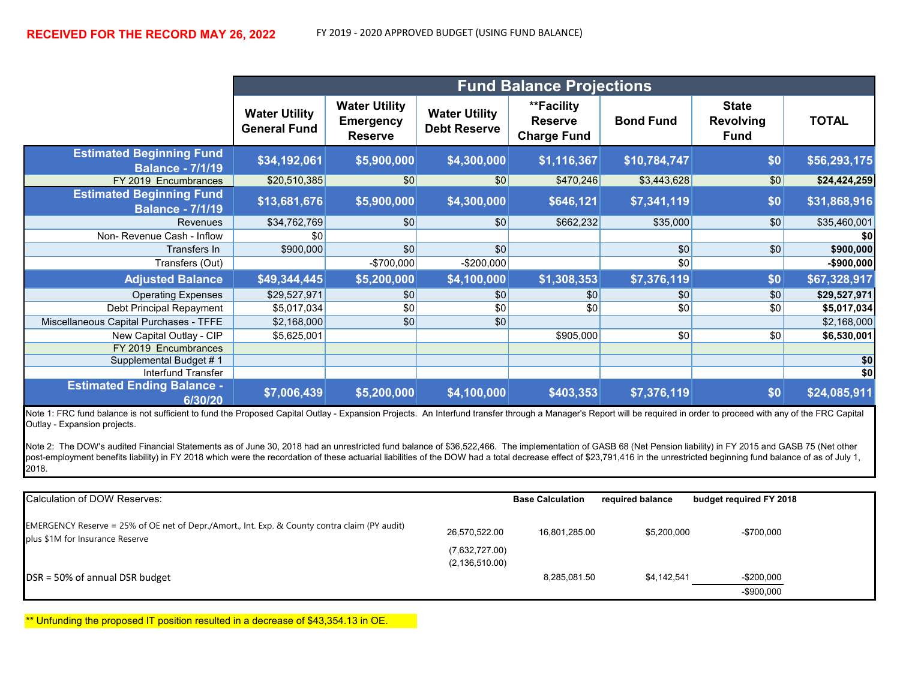|                                                            | <b>Fund Balance Projections</b>             |                                                            |                                             |                                                    |                  |                                                 |              |
|------------------------------------------------------------|---------------------------------------------|------------------------------------------------------------|---------------------------------------------|----------------------------------------------------|------------------|-------------------------------------------------|--------------|
|                                                            | <b>Water Utility</b><br><b>General Fund</b> | <b>Water Utility</b><br><b>Emergency</b><br><b>Reserve</b> | <b>Water Utility</b><br><b>Debt Reserve</b> | **Facility<br><b>Reserve</b><br><b>Charge Fund</b> | <b>Bond Fund</b> | <b>State</b><br><b>Revolving</b><br><b>Fund</b> | <b>TOTAL</b> |
| <b>Estimated Beginning Fund</b><br><b>Balance - 7/1/19</b> | \$34,192,061                                | \$5,900,000                                                | \$4,300,000                                 | \$1,116,367                                        | \$10,784,747     | \$0                                             | \$56,293,175 |
| FY 2019 Encumbrances                                       | \$20,510,385                                | \$0                                                        | \$0                                         | \$470,246                                          | \$3,443,628      | $\sqrt{50}$                                     | \$24,424,259 |
| <b>Estimated Beginning Fund</b><br><b>Balance - 7/1/19</b> | \$13,681,676                                | \$5,900,000                                                | \$4,300,000                                 | \$646,121                                          | \$7,341,119      | \$0                                             | \$31,868,916 |
| Revenues                                                   | \$34,762,769                                | \$0                                                        | \$0                                         | \$662,232                                          | \$35,000         | \$0                                             | \$35,460,001 |
| Non-Revenue Cash - Inflow                                  | \$0                                         |                                                            |                                             |                                                    |                  |                                                 | \$0          |
| Transfers In                                               | \$900,000                                   | \$0                                                        | \$0                                         |                                                    | \$0              | \$0                                             | \$900,000    |
| Transfers (Out)                                            |                                             | $-$700,000$                                                | $-$ \$200,000                               |                                                    | \$0              |                                                 | -\$900,000   |
| <b>Adjusted Balance</b>                                    | \$49,344,445                                | \$5,200,000                                                | \$4,100,000                                 | \$1,308,353                                        | \$7,376,119      | \$0                                             | \$67,328,917 |
| <b>Operating Expenses</b>                                  | \$29,527,971                                | \$0                                                        | \$0                                         | \$0                                                | \$0              | \$0                                             | \$29,527,971 |
| Debt Principal Repayment                                   | \$5,017,034                                 | \$0                                                        | \$0                                         | \$0                                                | \$0              | \$0                                             | \$5,017,034  |
| Miscellaneous Capital Purchases - TFFE                     | \$2,168,000                                 | \$0                                                        | \$0                                         |                                                    |                  |                                                 | \$2,168,000  |
| New Capital Outlay - CIP                                   | \$5,625,001                                 |                                                            |                                             | \$905,000                                          | \$0              | \$0                                             | \$6,530,001  |
| FY 2019 Encumbrances                                       |                                             |                                                            |                                             |                                                    |                  |                                                 |              |
| Supplemental Budget #1                                     |                                             |                                                            |                                             |                                                    |                  |                                                 | \$0          |
| <b>Interfund Transfer</b>                                  |                                             |                                                            |                                             |                                                    |                  |                                                 | \$0          |
| <b>Estimated Ending Balance -</b><br>6/30/20               | \$7,006,439                                 | \$5,200,000                                                | \$4,100,000                                 | \$403,353                                          | \$7,376,119      | \$0                                             | \$24,085,911 |

Note 1: FRC fund balance is not sufficient to fund the Proposed Capital Outlay - Expansion Projects. An Interfund transfer through a Manager's Report will be required in order to proceed with any of the FRC Capital Outlay - Expansion projects.

Note 2: The DOW's audited Financial Statements as of June 30, 2018 had an unrestricted fund balance of \$36,522,466. The implementation of GASB 68 (Net Pension liability) in FY 2015 and GASB 75 (Net other post-employment benefits liability) in FY 2018 which were the recordation of these actuarial liabilities of the DOW had a total decrease effect of \$23,791,416 in the unrestricted beginning fund balance of as of July 1, .<br>2018.

| Calculation of DOW Reserves:                                                                                                     | <b>Base Calculation</b>                             | required balance |             | budget required FY 2018    |
|----------------------------------------------------------------------------------------------------------------------------------|-----------------------------------------------------|------------------|-------------|----------------------------|
| EMERGENCY Reserve = 25% of OE net of Depr./Amort., Int. Exp. & County contra claim (PY audit)<br>plus \$1M for Insurance Reserve | 26,570,522.00<br>(7,632,727.00)<br>(2, 136, 510.00) | 16,801,285.00    | \$5,200,000 | $-$700,000$                |
| DSR = 50% of annual DSR budget                                                                                                   |                                                     | 8.285.081.50     | \$4.142.541 | $-$200,000$<br>$-$900,000$ |

\*\* Unfunding the proposed IT position resulted in a decrease of \$43,354.13 in OE.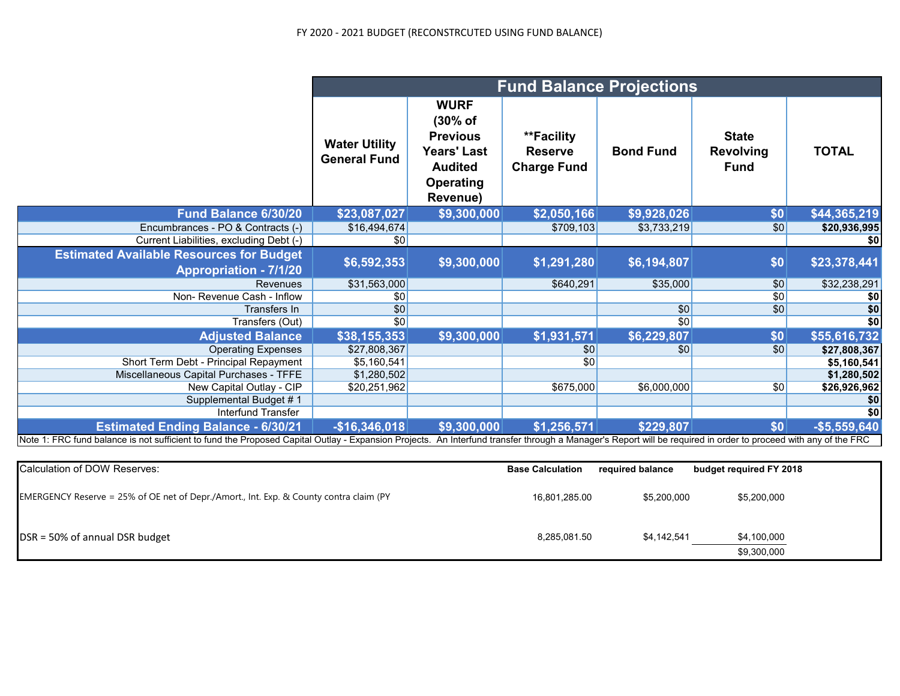## FY 2020 - 2021 BUDGET (RECONSTRCUTED USING FUND BALANCE)

|                                                                                                                                                                                                                | <b>Fund Balance Projections</b>             |                                                                                                                   |                                                    |                  |                                                 |                 |
|----------------------------------------------------------------------------------------------------------------------------------------------------------------------------------------------------------------|---------------------------------------------|-------------------------------------------------------------------------------------------------------------------|----------------------------------------------------|------------------|-------------------------------------------------|-----------------|
|                                                                                                                                                                                                                | <b>Water Utility</b><br><b>General Fund</b> | <b>WURF</b><br>(30% of<br><b>Previous</b><br><b>Years' Last</b><br><b>Audited</b><br><b>Operating</b><br>Revenue) | **Facility<br><b>Reserve</b><br><b>Charge Fund</b> | <b>Bond Fund</b> | <b>State</b><br><b>Revolving</b><br><b>Fund</b> | <b>TOTAL</b>    |
| Fund Balance 6/30/20                                                                                                                                                                                           | \$23,087,027                                | \$9,300,000                                                                                                       | \$2,050,166                                        | \$9,928,026      | \$0                                             | \$44,365,219    |
| Encumbrances - PO & Contracts (-)                                                                                                                                                                              | \$16,494,674                                |                                                                                                                   | \$709,103                                          | \$3,733,219      | \$0                                             | \$20,936,995    |
| Current Liabilities, excluding Debt (-)                                                                                                                                                                        | \$0                                         |                                                                                                                   |                                                    |                  |                                                 | \$0             |
| <b>Estimated Available Resources for Budget</b><br><b>Appropriation - 7/1/20</b>                                                                                                                               | \$6,592,353                                 | \$9,300,000                                                                                                       | \$1,291,280                                        | \$6,194,807      | \$0                                             | \$23,378,441    |
| <b>Revenues</b>                                                                                                                                                                                                | \$31,563,000                                |                                                                                                                   | \$640,291                                          | \$35,000         | \$0                                             | \$32,238,291    |
| Non-Revenue Cash - Inflow                                                                                                                                                                                      | \$0                                         |                                                                                                                   |                                                    |                  | \$0                                             | \$0             |
| Transfers In                                                                                                                                                                                                   | \$0                                         |                                                                                                                   |                                                    | $\overline{30}$  | \$0                                             | \$0             |
| Transfers (Out)                                                                                                                                                                                                | \$0                                         |                                                                                                                   |                                                    | $\overline{30}$  |                                                 | $\overline{50}$ |
| <b>Adjusted Balance</b>                                                                                                                                                                                        | \$38,155,353                                | \$9,300,000                                                                                                       | \$1,931,571                                        | \$6,229,807      | \$0                                             | \$55,616,732    |
| <b>Operating Expenses</b>                                                                                                                                                                                      | \$27,808,367                                |                                                                                                                   | \$0                                                | \$0              | \$0                                             | \$27,808,367    |
| Short Term Debt - Principal Repayment                                                                                                                                                                          | \$5,160,541                                 |                                                                                                                   | \$0                                                |                  |                                                 | \$5,160,541     |
| Miscellaneous Capital Purchases - TFFE                                                                                                                                                                         | \$1,280,502                                 |                                                                                                                   |                                                    |                  |                                                 | \$1,280,502     |
| New Capital Outlay - CIP                                                                                                                                                                                       | \$20,251,962                                |                                                                                                                   | \$675,000                                          | \$6,000,000      | \$0                                             | \$26,926,962    |
| Supplemental Budget #1                                                                                                                                                                                         |                                             |                                                                                                                   |                                                    |                  |                                                 | \$0             |
| Interfund Transfer                                                                                                                                                                                             |                                             |                                                                                                                   |                                                    |                  |                                                 | \$0             |
| <b>Estimated Ending Balance - 6/30/21</b>                                                                                                                                                                      | $-$16,346,018$                              | \$9,300,000                                                                                                       | \$1,256,571                                        | \$229,807        | \$0                                             | $-$5,559,640$   |
| Note 1: FRC fund balance is not sufficient to fund the Proposed Capital Outlay - Expansion Projects. An Interfund transfer through a Manager's Report will be required in order to proceed with any of the FRC |                                             |                                                                                                                   |                                                    |                  |                                                 |                 |

| Calculation of DOW Reserves:                                                           | <b>Base Calculation</b> | required balance | budget required FY 2018    |
|----------------------------------------------------------------------------------------|-------------------------|------------------|----------------------------|
| EMERGENCY Reserve = 25% of OE net of Depr./Amort., Int. Exp. & County contra claim (PY | 16,801,285.00           | \$5,200,000      | \$5,200,000                |
| DSR = 50% of annual DSR budget                                                         | 8,285,081.50            | \$4,142,541      | \$4,100,000<br>\$9,300,000 |